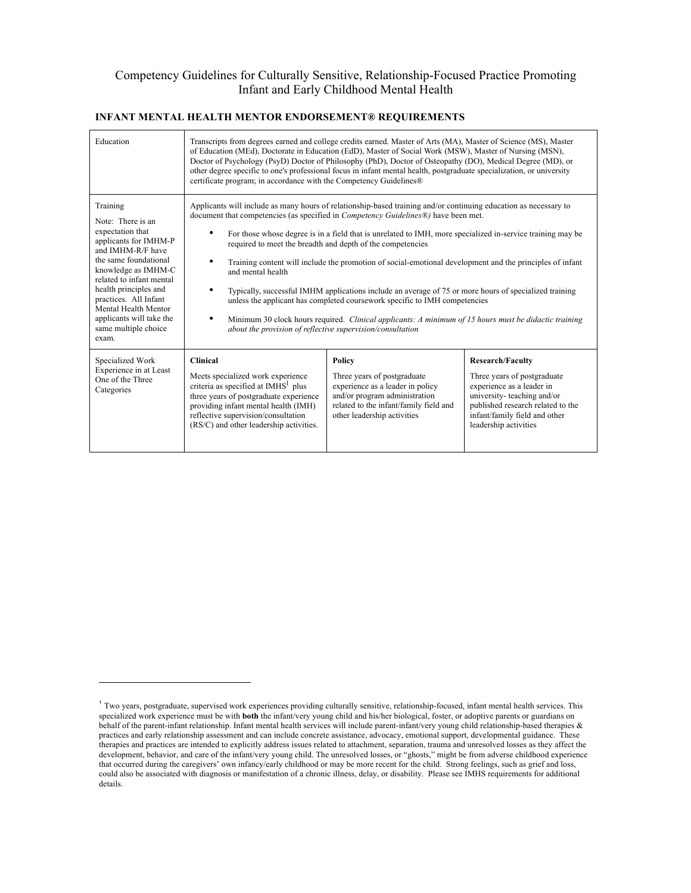# Competency Guidelines for Culturally Sensitive, Relationship-Focused Practice Promoting Infant and Early Childhood Mental Health

| Education                                                                                                                                                                                                                                                                                                          | Transcripts from degrees earned and college credits earned. Master of Arts (MA), Master of Science (MS), Master<br>of Education (MEd), Doctorate in Education (EdD), Master of Social Work (MSW), Master of Nursing (MSN),<br>Doctor of Psychology (PsyD) Doctor of Philosophy (PhD), Doctor of Osteopathy (DO), Medical Degree (MD), or<br>other degree specific to one's professional focus in infant mental health, postgraduate specialization, or university<br>certificate program; in accordance with the Competency Guidelines®                                                                                                                                                                                                                                                                                                                                                                |                                                                                                                                                                                     |                                                                                                                                                                                                                  |
|--------------------------------------------------------------------------------------------------------------------------------------------------------------------------------------------------------------------------------------------------------------------------------------------------------------------|--------------------------------------------------------------------------------------------------------------------------------------------------------------------------------------------------------------------------------------------------------------------------------------------------------------------------------------------------------------------------------------------------------------------------------------------------------------------------------------------------------------------------------------------------------------------------------------------------------------------------------------------------------------------------------------------------------------------------------------------------------------------------------------------------------------------------------------------------------------------------------------------------------|-------------------------------------------------------------------------------------------------------------------------------------------------------------------------------------|------------------------------------------------------------------------------------------------------------------------------------------------------------------------------------------------------------------|
| Training<br>Note: There is an<br>expectation that<br>applicants for IMHM-P<br>and IMHM-R/F have<br>the same foundational<br>knowledge as IMHM-C<br>related to infant mental<br>health principles and<br>practices. All Infant<br>Mental Health Mentor<br>applicants will take the<br>same multiple choice<br>exam. | Applicants will include as many hours of relationship-based training and/or continuing education as necessary to<br>document that competencies (as specified in <i>Competency Guidelines®)</i> have been met.<br>For those whose degree is in a field that is unrelated to IMH, more specialized in-service training may be<br>required to meet the breadth and depth of the competencies<br>Training content will include the promotion of social-emotional development and the principles of infant<br>and mental health<br>$\bullet$<br>Typically, successful IMHM applications include an average of 75 or more hours of specialized training<br>unless the applicant has completed coursework specific to IMH competencies<br>Minimum 30 clock hours required. Clinical applicants: A minimum of 15 hours must be didactic training<br>about the provision of reflective supervision/consultation |                                                                                                                                                                                     |                                                                                                                                                                                                                  |
| Specialized Work<br>Experience in at Least<br>One of the Three<br>Categories                                                                                                                                                                                                                                       | <b>Clinical</b><br>Meets specialized work experience<br>criteria as specified at IMHS <sup>1</sup> plus<br>three years of postgraduate experience<br>providing infant mental health (IMH)<br>reflective supervision/consultation<br>(RS/C) and other leadership activities.                                                                                                                                                                                                                                                                                                                                                                                                                                                                                                                                                                                                                            | Policy<br>Three years of postgraduate<br>experience as a leader in policy<br>and/or program administration<br>related to the infant/family field and<br>other leadership activities | <b>Research/Faculty</b><br>Three years of postgraduate<br>experience as a leader in<br>university-teaching and/or<br>published research related to the<br>infant/family field and other<br>leadership activities |

#### **INFANT MENTAL HEALTH MENTOR ENDORSEMENT® REQUIREMENTS**

-

<sup>1</sup> Two years, postgraduate, supervised work experiences providing culturally sensitive, relationship-focused, infant mental health services. This specialized work experience must be with **both** the infant/very young child and his/her biological, foster, or adoptive parents or guardians on behalf of the parent-infant relationship. Infant mental health services will include parent-infant/very young child relationship-based therapies & practices and early relationship assessment and can include concrete assistance, advocacy, emotional support, developmental guidance. These therapies and practices are intended to explicitly address issues related to attachment, separation, trauma and unresolved losses as they affect the development, behavior, and care of the infant/very young child. The unresolved losses, or "ghosts," might be from adverse childhood experience that occurred during the caregivers' own infancy/early childhood or may be more recent for the child. Strong feelings, such as grief and loss, could also be associated with diagnosis or manifestation of a chronic illness, delay, or disability. Please see IMHS requirements for additional details.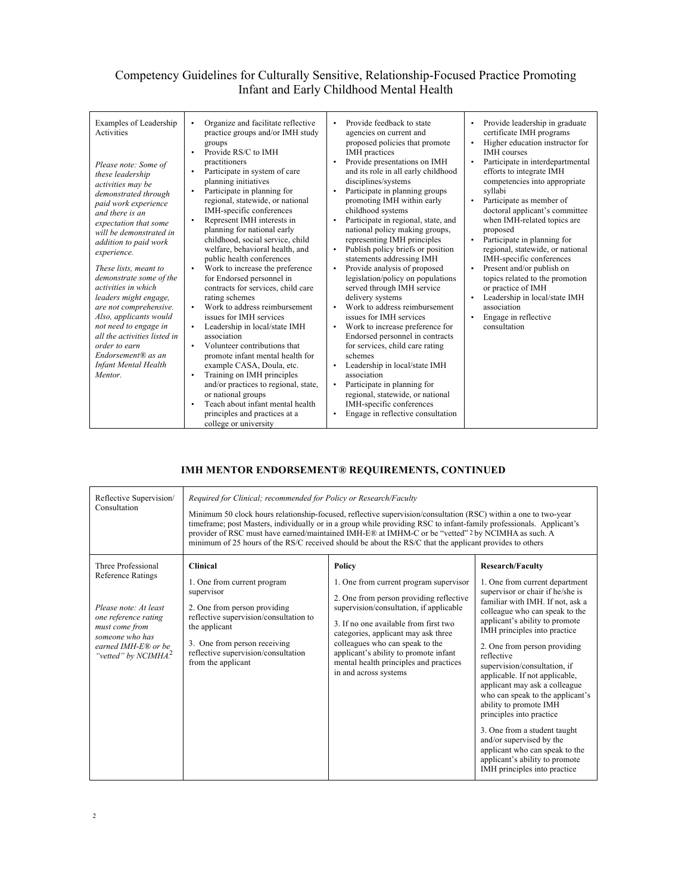## Competency Guidelines for Culturally Sensitive, Relationship-Focused Practice Promoting Infant and Early Childhood Mental Health

| Examples of Leadership<br>Activities<br>Please note: Some of<br>these leadership<br>activities may be<br>demonstrated through<br>paid work experience<br>and there is an<br>expectation that some<br>will be demonstrated in<br>addition to paid work<br>experience.<br>These lists, meant to<br>demonstrate some of the<br>activities in which<br>leaders might engage,<br>are not comprehensive.<br>Also, applicants would<br>not need to engage in<br>all the activities listed in<br>order to earn<br>$Endorsement ® as an$<br><b>Infant Mental Health</b><br>Mentor. | Organize and facilitate reflective<br>$\bullet$<br>practice groups and/or IMH study<br>groups<br>Provide RS/C to IMH<br>$\bullet$<br>practitioners<br>Participate in system of care<br>planning initiatives<br>Participate in planning for<br>regional, statewide, or national<br>IMH-specific conferences<br>Represent IMH interests in<br>planning for national early<br>childhood, social service, child<br>welfare, behavioral health, and<br>public health conferences<br>Work to increase the preference<br>for Endorsed personnel in<br>contracts for services, child care<br>rating schemes<br>Work to address reimbursement<br>issues for IMH services<br>Leadership in local/state IMH<br>$\bullet$<br>association<br>Volunteer contributions that<br>$\bullet$<br>promote infant mental health for<br>example CASA, Doula, etc.<br>Training on IMH principles<br>and/or practices to regional, state,<br>or national groups<br>Teach about infant mental health<br>principles and practices at a | Provide feedback to state<br>$\bullet$<br>agencies on current and<br>proposed policies that promote<br><b>IMH</b> practices<br>Provide presentations on IMH<br>and its role in all early childhood<br>disciplines/systems<br>Participate in planning groups<br>promoting IMH within early<br>childhood systems<br>Participate in regional, state, and<br>$\bullet$<br>national policy making groups,<br>representing IMH principles<br>Publish policy briefs or position<br>statements addressing IMH<br>Provide analysis of proposed<br>legislation/policy on populations<br>served through IMH service<br>delivery systems<br>Work to address reimbursement<br>issues for IMH services<br>Work to increase preference for<br>٠<br>Endorsed personnel in contracts<br>for services, child care rating<br>schemes<br>Leadership in local/state IMH<br>association<br>Participate in planning for<br>٠<br>regional, statewide, or national<br>IMH-specific conferences<br>Engage in reflective consultation | Provide leadership in graduate<br>$\bullet$<br>certificate IMH programs<br>Higher education instructor for<br>$\bullet$<br><b>IMH</b> courses<br>Participate in interdepartmental<br>$\bullet$<br>efforts to integrate IMH<br>competencies into appropriate<br>syllabi<br>Participate as member of<br>$\bullet$<br>doctoral applicant's committee<br>when IMH-related topics are<br>proposed<br>Participate in planning for<br>$\bullet$<br>regional, statewide, or national<br>IMH-specific conferences<br>Present and/or publish on<br>$\bullet$<br>topics related to the promotion<br>or practice of IMH<br>Leadership in local/state IMH<br>$\bullet$<br>association<br>Engage in reflective<br>$\bullet$<br>consultation |
|---------------------------------------------------------------------------------------------------------------------------------------------------------------------------------------------------------------------------------------------------------------------------------------------------------------------------------------------------------------------------------------------------------------------------------------------------------------------------------------------------------------------------------------------------------------------------|-------------------------------------------------------------------------------------------------------------------------------------------------------------------------------------------------------------------------------------------------------------------------------------------------------------------------------------------------------------------------------------------------------------------------------------------------------------------------------------------------------------------------------------------------------------------------------------------------------------------------------------------------------------------------------------------------------------------------------------------------------------------------------------------------------------------------------------------------------------------------------------------------------------------------------------------------------------------------------------------------------------|------------------------------------------------------------------------------------------------------------------------------------------------------------------------------------------------------------------------------------------------------------------------------------------------------------------------------------------------------------------------------------------------------------------------------------------------------------------------------------------------------------------------------------------------------------------------------------------------------------------------------------------------------------------------------------------------------------------------------------------------------------------------------------------------------------------------------------------------------------------------------------------------------------------------------------------------------------------------------------------------------------|-------------------------------------------------------------------------------------------------------------------------------------------------------------------------------------------------------------------------------------------------------------------------------------------------------------------------------------------------------------------------------------------------------------------------------------------------------------------------------------------------------------------------------------------------------------------------------------------------------------------------------------------------------------------------------------------------------------------------------|
|                                                                                                                                                                                                                                                                                                                                                                                                                                                                                                                                                                           | college or university                                                                                                                                                                                                                                                                                                                                                                                                                                                                                                                                                                                                                                                                                                                                                                                                                                                                                                                                                                                       |                                                                                                                                                                                                                                                                                                                                                                                                                                                                                                                                                                                                                                                                                                                                                                                                                                                                                                                                                                                                            |                                                                                                                                                                                                                                                                                                                                                                                                                                                                                                                                                                                                                                                                                                                               |

#### **IMH MENTOR ENDORSEMENT® REQUIREMENTS, CONTINUED**

| Reflective Supervision/<br>Consultation                                                                                                                                            | Required for Clinical; recommended for Policy or Research/Faculty<br>Minimum 50 clock hours relationship-focused, reflective supervision/consultation (RSC) within a one to two-year<br>timeframe; post Masters, individually or in a group while providing RSC to infant-family professionals. Applicant's<br>provider of RSC must have earned/maintained IMH-E® at IMHM-C or be "vetted" 2 by NCIMHA as such. A<br>minimum of 25 hours of the RS/C received should be about the RS/C that the applicant provides to others |                                                                                                                                                                                                                                                                                                                                                                       |                                                                                                                                                                                                                                                                                                                                                                                                                                                                                                                                                                                                                                                  |
|------------------------------------------------------------------------------------------------------------------------------------------------------------------------------------|------------------------------------------------------------------------------------------------------------------------------------------------------------------------------------------------------------------------------------------------------------------------------------------------------------------------------------------------------------------------------------------------------------------------------------------------------------------------------------------------------------------------------|-----------------------------------------------------------------------------------------------------------------------------------------------------------------------------------------------------------------------------------------------------------------------------------------------------------------------------------------------------------------------|--------------------------------------------------------------------------------------------------------------------------------------------------------------------------------------------------------------------------------------------------------------------------------------------------------------------------------------------------------------------------------------------------------------------------------------------------------------------------------------------------------------------------------------------------------------------------------------------------------------------------------------------------|
| Three Professional<br><b>Reference Ratings</b><br>Please note: At least<br>one reference rating<br>must come from<br>someone who has<br>earned IMH-E® or be<br>"vetted" by NCIMHA? | <b>Clinical</b><br>1. One from current program<br>supervisor<br>2. One from person providing<br>reflective supervision/consultation to<br>the applicant<br>3. One from person receiving<br>reflective supervision/consultation<br>from the applicant                                                                                                                                                                                                                                                                         | Policy<br>1. One from current program supervisor<br>2. One from person providing reflective<br>supervision/consultation, if applicable<br>3. If no one available from first two<br>categories, applicant may ask three<br>colleagues who can speak to the<br>applicant's ability to promote infant<br>mental health principles and practices<br>in and across systems | <b>Research/Faculty</b><br>1. One from current department<br>supervisor or chair if he/she is<br>familiar with IMH. If not, ask a<br>colleague who can speak to the<br>applicant's ability to promote<br>IMH principles into practice<br>2. One from person providing<br>reflective<br>supervision/consultation, if<br>applicable. If not applicable,<br>applicant may ask a colleague<br>who can speak to the applicant's<br>ability to promote IMH<br>principles into practice<br>3. One from a student taught<br>and/or supervised by the<br>applicant who can speak to the<br>applicant's ability to promote<br>IMH principles into practice |